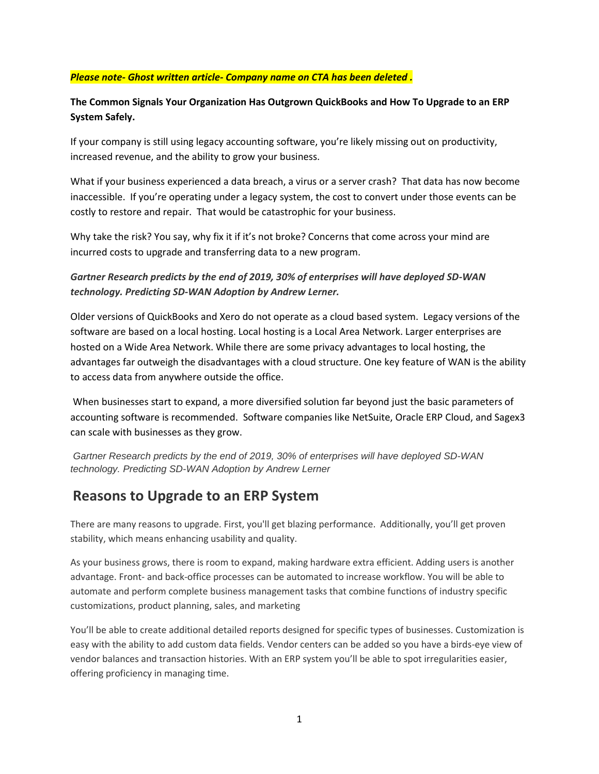#### *Please note- Ghost written article- Company name on CTA has been deleted .*

#### **The Common Signals Your Organization Has Outgrown QuickBooks and How To Upgrade to an ERP System Safely.**

If your company is still using legacy accounting software, you're likely missing out on productivity, increased revenue, and the ability to grow your business.

What if your business experienced a data breach, a virus or a server crash? That data has now become inaccessible. If you're operating under a legacy system, the cost to convert under those events can be costly to restore and repair. That would be catastrophic for your business.

Why take the risk? You say, why fix it if it's not broke? Concerns that come across your mind are incurred costs to upgrade and transferring data to a new program.

### *Gartner Research predicts by the end of 2019, 30% of enterprises will have deployed SD-WAN technology. Predicting SD-WAN Adoption by Andrew Lerner.*

Older versions of QuickBooks and Xero do not operate as a cloud based system. Legacy versions of the software are based on a local hosting. Local hosting is a Local Area Network. Larger enterprises are hosted on a Wide Area Network. While there are some privacy advantages to local hosting, the advantages far outweigh the disadvantages with a cloud structure. One key feature of WAN is the ability to access data from anywhere outside the office.

When businesses start to expand, a more diversified solution far beyond just the basic parameters of accounting software is recommended. Software companies like NetSuite, Oracle ERP Cloud, and Sagex3 can scale with businesses as they grow.

*Gartner Research predicts by the end of 2019, 30% of enterprises will have deployed SD-WAN technology. Predicting SD-WAN Adoption by Andrew Lerner*

## **Reasons to Upgrade to an ERP System**

There are many reasons to upgrade. First, you'll get blazing performance. Additionally, you'll get proven stability, which means enhancing usability and quality.

As your business grows, there is room to expand, making hardware extra efficient. Adding users is another advantage. Front- and back-office processes can be automated to increase workflow. You will be able to automate and perform complete business management tasks that combine functions of industry specific customizations, product planning, sales, and marketing

You'll be able to create additional detailed reports designed for specific types of businesses. Customization is easy with the ability to add custom data fields. Vendor centers can be added so you have a birds-eye view of vendor balances and transaction histories. With an ERP system you'll be able to spot irregularities easier, offering proficiency in managing time.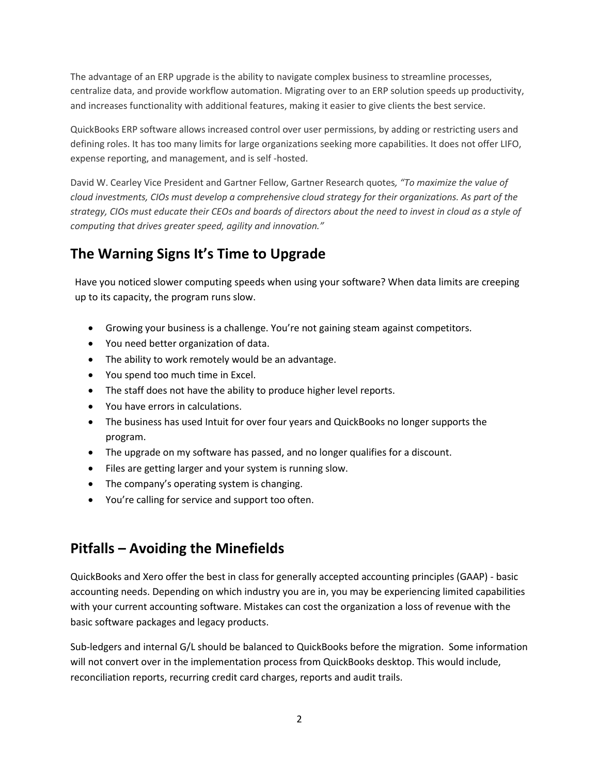The advantage of an ERP upgrade is the ability to navigate complex business to streamline processes, centralize data, and provide workflow automation. Migrating over to an ERP solution speeds up productivity, and increases functionality with additional features, making it easier to give clients the best service.

QuickBooks ERP software allows increased control over user permissions, by adding or restricting users and defining roles. It has too many limits for large organizations seeking more capabilities. It does not offer LIFO, expense reporting, and management, and is self -hosted.

David W. Cearley Vice President and Gartner Fellow, Gartner Research quotes*, "To maximize the value of cloud investments, CIOs must develop a comprehensive cloud strategy for their organizations. As part of the strategy, CIOs must educate their CEOs and boards of directors about the need to invest in cloud as a style of computing that drives greater speed, agility and innovation."*

# **The Warning Signs It's Time to Upgrade**

Have you noticed slower computing speeds when using your software? When data limits are creeping up to its capacity, the program runs slow.

- Growing your business is a challenge. You're not gaining steam against competitors.
- You need better organization of data.
- The ability to work remotely would be an advantage.
- You spend too much time in Excel.
- The staff does not have the ability to produce higher level reports.
- You have errors in calculations.
- The business has used Intuit for over four years and QuickBooks no longer supports the program.
- The upgrade on my software has passed, and no longer qualifies for a discount.
- Files are getting larger and your system is running slow.
- The company's operating system is changing.
- You're calling for service and support too often.

## **Pitfalls – Avoiding the Minefields**

QuickBooks and Xero offer the best in class for generally accepted accounting principles (GAAP) - basic accounting needs. Depending on which industry you are in, you may be experiencing limited capabilities with your current accounting software. Mistakes can cost the organization a loss of revenue with the basic software packages and legacy products.

Sub-ledgers and internal G/L should be balanced to QuickBooks before the migration. Some information will not convert over in the implementation process from QuickBooks desktop. This would include, reconciliation reports, recurring credit card charges, reports and audit trails.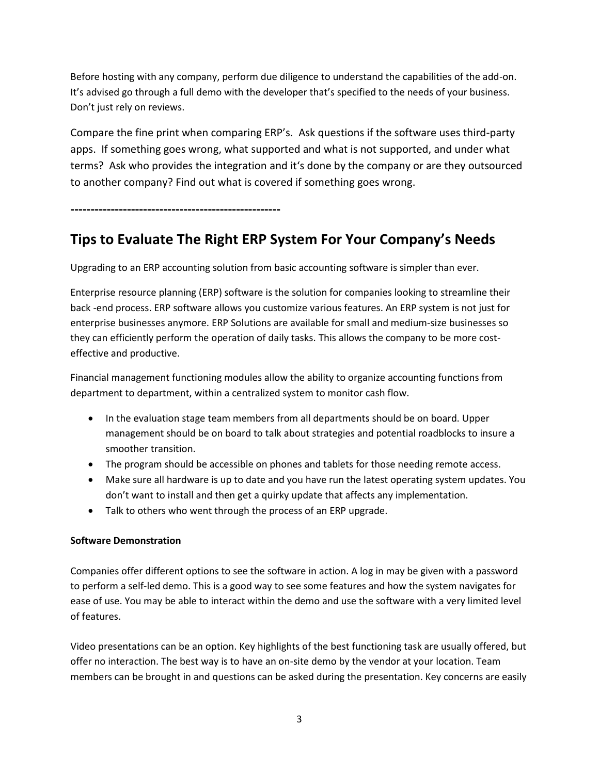Before hosting with any company, perform due diligence to understand the capabilities of the add-on. It's advised go through a full demo with the developer that's specified to the needs of your business. Don't just rely on reviews.

Compare the fine print when comparing ERP's. Ask questions if the software uses third-party apps. If something goes wrong, what supported and what is not supported, and under what terms? Ask who provides the integration and it's done by the company or are they outsourced to another company? Find out what is covered if something goes wrong.

**----------------------------------------------------**

# **Tips to Evaluate The Right ERP System For Your Company's Needs**

Upgrading to an ERP accounting solution from basic accounting software is simpler than ever.

Enterprise resource planning (ERP) software is the solution for companies looking to streamline their back -end process. ERP software allows you customize various features. An ERP system is not just for enterprise businesses anymore. ERP Solutions are available for small and medium-size businesses so they can efficiently perform the operation of daily tasks. This allows the company to be more costeffective and productive.

Financial management functioning modules allow the ability to organize accounting functions from department to department, within a centralized system to monitor cash flow.

- In the evaluation stage team members from all departments should be on board. Upper management should be on board to talk about strategies and potential roadblocks to insure a smoother transition.
- The program should be accessible on phones and tablets for those needing remote access.
- Make sure all hardware is up to date and you have run the latest operating system updates. You don't want to install and then get a quirky update that affects any implementation.
- Talk to others who went through the process of an ERP upgrade.

#### **Software Demonstration**

Companies offer different options to see the software in action. A log in may be given with a password to perform a self-led demo. This is a good way to see some features and how the system navigates for ease of use. You may be able to interact within the demo and use the software with a very limited level of features.

Video presentations can be an option. Key highlights of the best functioning task are usually offered, but offer no interaction. The best way is to have an on-site demo by the vendor at your location. Team members can be brought in and questions can be asked during the presentation. Key concerns are easily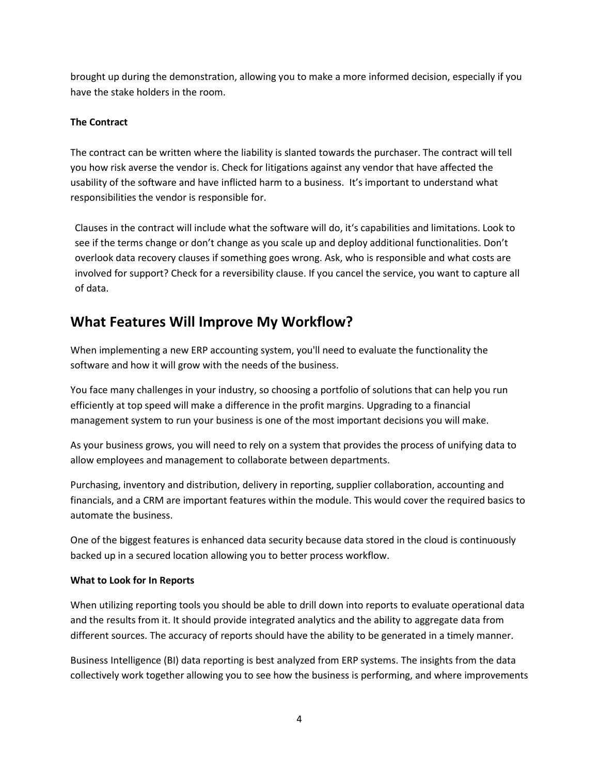brought up during the demonstration, allowing you to make a more informed decision, especially if you have the stake holders in the room.

#### **The Contract**

The contract can be written where the liability is slanted towards the purchaser. The contract will tell you how risk averse the vendor is. Check for litigations against any vendor that have affected the usability of the software and have inflicted harm to a business. It's important to understand what responsibilities the vendor is responsible for.

Clauses in the contract will include what the software will do, it's capabilities and limitations. Look to see if the terms change or don't change as you scale up and deploy additional functionalities. Don't overlook data recovery clauses if something goes wrong. Ask, who is responsible and what costs are involved for support? Check for a reversibility clause. If you cancel the service, you want to capture all of data.

## **What Features Will Improve My Workflow?**

When implementing a new ERP accounting system, you'll need to evaluate the functionality the software and how it will grow with the needs of the business.

You face many challenges in your industry, so choosing a portfolio of solutions that can help you run efficiently at top speed will make a difference in the profit margins. Upgrading to a financial management system to run your business is one of the most important decisions you will make.

As your business grows, you will need to rely on a system that provides the process of unifying data to allow employees and management to collaborate between departments.

Purchasing, inventory and distribution, delivery in reporting, supplier collaboration, accounting and financials, and a CRM are important features within the module. This would cover the required basics to automate the business.

One of the biggest features is enhanced data security because data stored in the cloud is continuously backed up in a secured location allowing you to better process workflow.

#### **What to Look for In Reports**

When utilizing reporting tools you should be able to drill down into reports to evaluate operational data and the results from it. It should provide integrated analytics and the ability to aggregate data from different sources. The accuracy of reports should have the ability to be generated in a timely manner.

Business Intelligence (BI) data reporting is best analyzed from ERP systems. The insights from the data collectively work together allowing you to see how the business is performing, and where improvements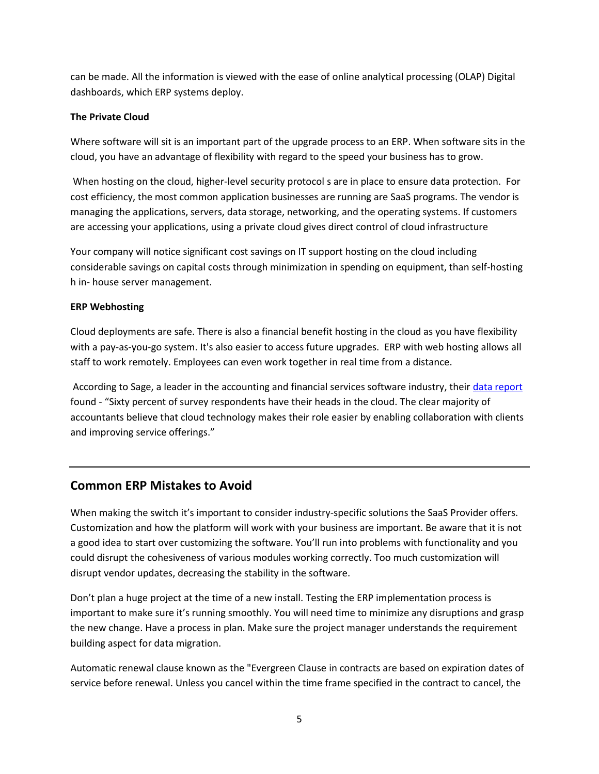can be made. All the information is viewed with the ease of online analytical processing (OLAP) Digital dashboards, which ERP systems deploy.

#### **The Private Cloud**

Where software will sit is an important part of the upgrade process to an ERP. When software sits in the cloud, you have an advantage of flexibility with regard to the speed your business has to grow.

When hosting on the cloud, higher-level security protocol s are in place to ensure data protection. For cost efficiency, the most common application businesses are running are SaaS programs. The vendor is managing the applications, servers, data storage, networking, and the operating systems. If customers are accessing your applications, using a private cloud gives direct control of cloud infrastructure

Your company will notice significant cost savings on IT support hosting on the cloud including considerable savings on capital costs through minimization in spending on equipment, than self-hosting h in- house server management.

#### **ERP Webhosting**

Cloud deployments are safe. There is also a financial benefit hosting in the cloud as you have flexibility with a pay-as-you-go system. It's also easier to access future upgrades. ERP with web hosting allows all staff to work remotely. Employees can even work together in real time from a distance.

According to Sage, a leader in the accounting and financial services software industry, their [data report](https://www.sage.com/en-us/cp/practice-of-now/) found - "Sixty percent of survey respondents have their heads in the cloud. The clear majority of accountants believe that cloud technology makes their role easier by enabling collaboration with clients and improving service offerings."

### **Common ERP Mistakes to Avoid**

When making the switch it's important to consider industry-specific solutions the SaaS Provider offers. Customization and how the platform will work with your business are important. Be aware that it is not a good idea to start over customizing the software. You'll run into problems with functionality and you could disrupt the cohesiveness of various modules working correctly. Too much customization will disrupt vendor updates, decreasing the stability in the software.

Don't plan a huge project at the time of a new install. Testing the ERP implementation process is important to make sure it's running smoothly. You will need time to minimize any disruptions and grasp the new change. Have a process in plan. Make sure the project manager understands the requirement building aspect for data migration.

Automatic renewal clause known as the "Evergreen Clause in contracts are based on expiration dates of service before renewal. Unless you cancel within the time frame specified in the contract to cancel, the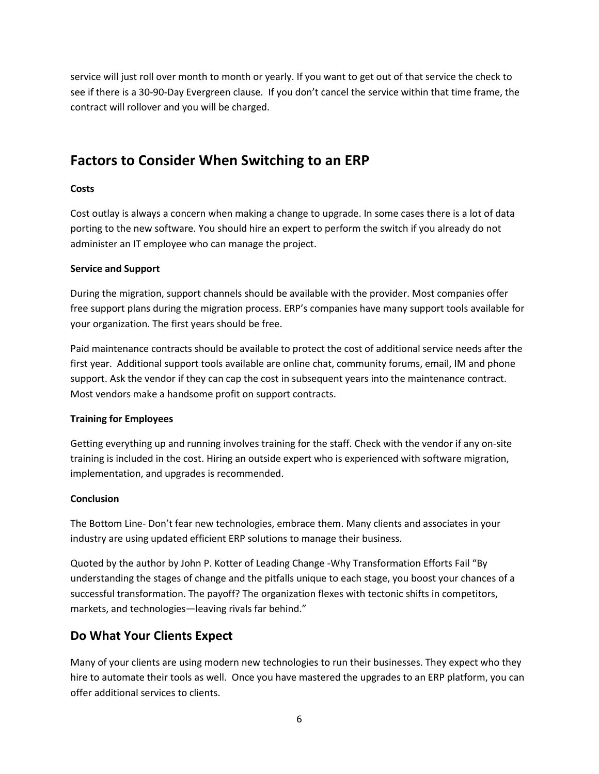service will just roll over month to month or yearly. If you want to get out of that service the check to see if there is a 30-90-Day Evergreen clause. If you don't cancel the service within that time frame, the contract will rollover and you will be charged.

# **Factors to Consider When Switching to an ERP**

#### **Costs**

Cost outlay is always a concern when making a change to upgrade. In some cases there is a lot of data porting to the new software. You should hire an expert to perform the switch if you already do not administer an IT employee who can manage the project.

#### **Service and Support**

During the migration, support channels should be available with the provider. Most companies offer free support plans during the migration process. ERP's companies have many support tools available for your organization. The first years should be free.

Paid maintenance contracts should be available to protect the cost of additional service needs after the first year. Additional support tools available are online chat, community forums, email, IM and phone support. Ask the vendor if they can cap the cost in subsequent years into the maintenance contract. Most vendors make a handsome profit on support contracts.

#### **Training for Employees**

Getting everything up and running involves training for the staff. Check with the vendor if any on-site training is included in the cost. Hiring an outside expert who is experienced with software migration, implementation, and upgrades is recommended.

#### **Conclusion**

The Bottom Line- Don't fear new technologies, embrace them. Many clients and associates in your industry are using updated efficient ERP solutions to manage their business.

Quoted by the author by John P. Kotter of Leading Change -Why Transformation Efforts Fail "By understanding the stages of change and the pitfalls unique to each stage, you boost your chances of a successful transformation. The payoff? The organization flexes with tectonic shifts in competitors, markets, and technologies—leaving rivals far behind."

### **Do What Your Clients Expect**

Many of your clients are using modern new technologies to run their businesses. They expect who they hire to automate their tools as well. Once you have mastered the upgrades to an ERP platform, you can offer additional services to clients.